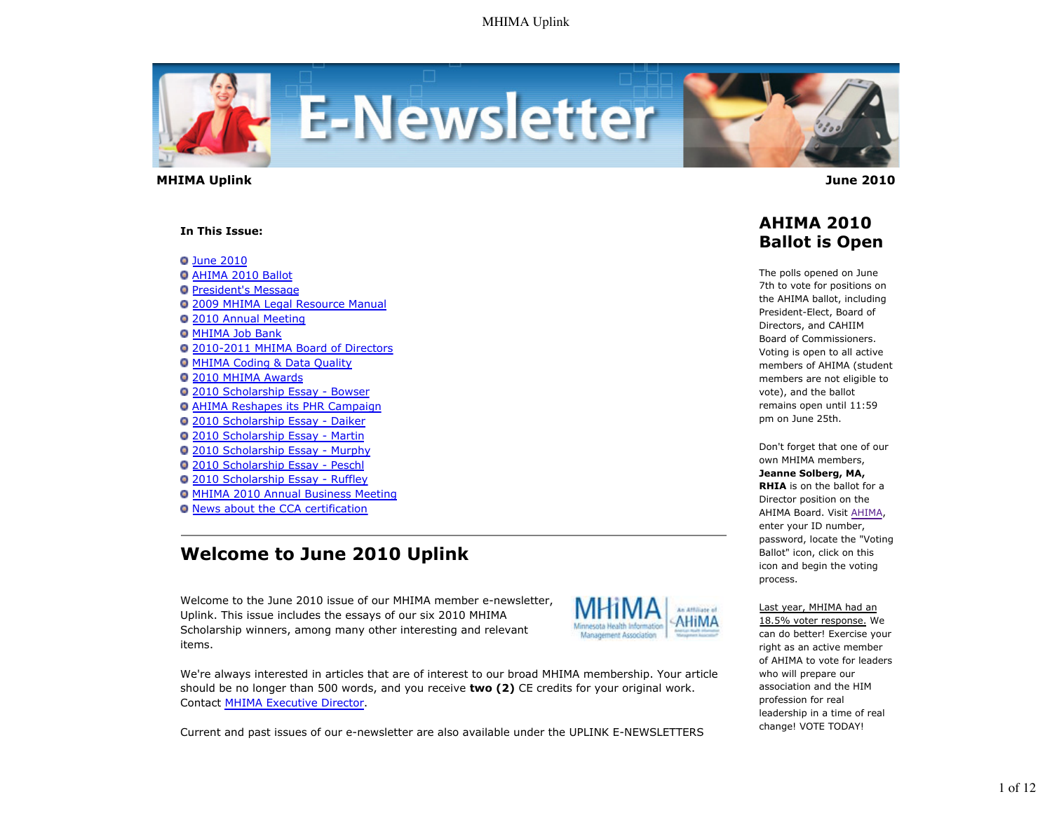

 **MHIMA Uplink June 2010** 

#### **In This Issue:**

**O** June 2010 AHIMA 2010 Ballot **President's Message** 2009 MHIMA Legal Resource Manual 2010 Annual Meeting **O MHIMA Job Bank** 2010-2011 MHIMA Board of Directors **O MHIMA Coding & Data Quality** 2010 MHIMA Awards 2010 Scholarship Essay - Bowser AHIMA Reshapes its PHR Campaign 2010 Scholarship Essay - Daiker 2010 Scholarship Essay - Martin 2010 Scholarship Essay - Murphy 2010 Scholarship Essay - Peschl 2010 Scholarship Essay - Ruffley MHIMA 2010 Annual Business Meeting News about the CCA certification

# **Welcome to June 2010 Uplink**

Welcome to the June 2010 issue of our MHIMA member e-newsletter, Uplink. This issue includes the essays of our six 2010 MHIMA Scholarship winners, among many other interesting and relevant items.



We're always interested in articles that are of interest to our broad MHIMA membership. Your article should be no longer than 500 words, and you receive **two (2)** CE credits for your original work. Contact MHIMA Executive Director.

Current and past issues of our e-newsletter are also available under the UPLINK E-NEWSLETTERS

## **AHIMA 2010 Ballot is Open**

The polls opened on June 7th to vote for positions on the AHIMA ballot, including President-Elect, Board of Directors, and CAHIIM Board of Commissioners. Voting is open to all active members of AHIMA (student members are not eligible to vote), and the ballot remains open until 11:59 pm on June 25th.

Don't forget that one of our own MHIMA members, **Jeanne Solberg, MA, RHIA** is on the ballot for a Director position on the AHIMA Board. Visit AHIMA, enter your ID number, password, locate the "Voting Ballot" icon, click on this icon and begin the voting process.

Last year, MHIMA had an 18.5% voter response. We can do better! Exercise your right as an active member of AHIMA to vote for leaders who will prepare our association and the HIM profession for real leadership in a time of real change! VOTE TODAY!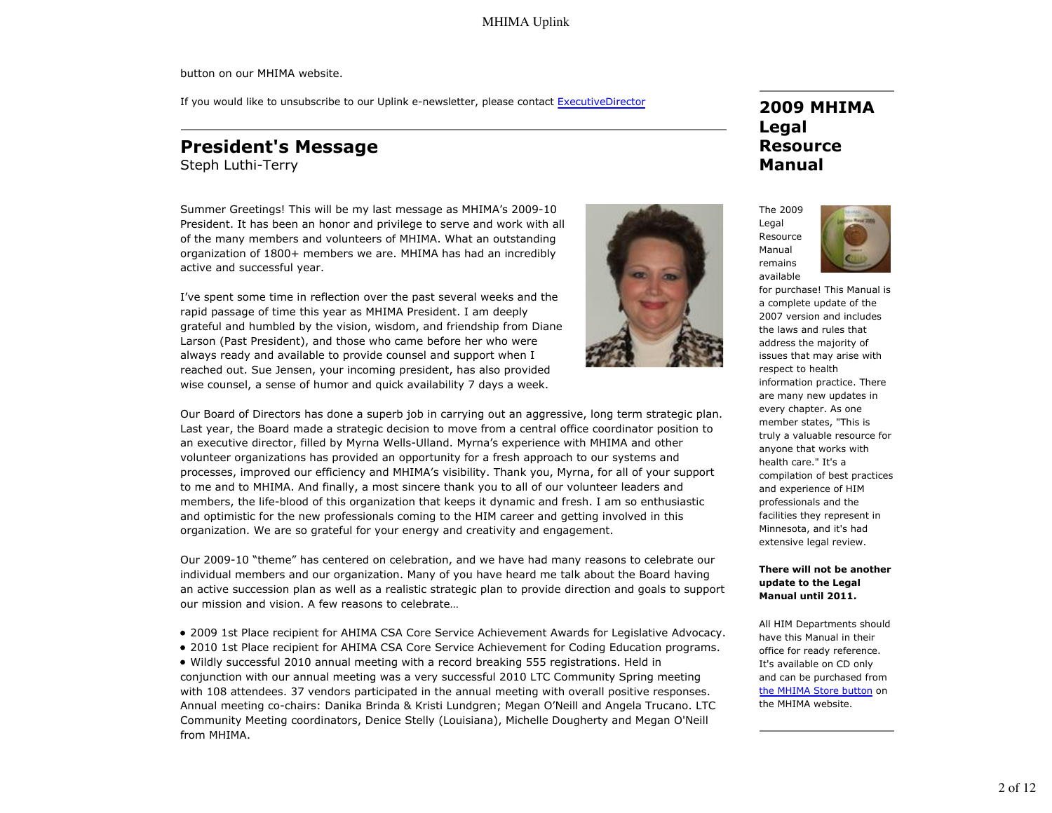button on our MHIMA website.

If you would like to unsubscribe to our Uplink e-newsletter, please contact ExecutiveDirector

# **President's Message**

Steph Luthi-Terry

Summer Greetings! This will be my last message as MHIMA's 2009-10 President. It has been an honor and privilege to serve and work with all of the many members and volunteers of MHIMA. What an outstanding organization of 1800+ members we are. MHIMA has had an incredibly active and successful year.

I've spent some time in reflection over the past several weeks and the rapid passage of time this year as MHIMA President. I am deeply grateful and humbled by the vision, wisdom, and friendship from Diane Larson (Past President), and those who came before her who were always ready and available to provide counsel and support when I reached out. Sue Jensen, your incoming president, has also provided wise counsel, a sense of humor and quick availability 7 days a week.

Our Board of Directors has done a superb job in carrying out an aggressive, long term strategic plan. Last year, the Board made a strategic decision to move from a central office coordinator position to an executive director, filled by Myrna Wells-Ulland. Myrna's experience with MHIMA and other volunteer organizations has provided an opportunity for a fresh approach to our systems and processes, improved our efficiency and MHIMA's visibility. Thank you, Myrna, for all of your support to me and to MHIMA. And finally, a most sincere thank you to all of our volunteer leaders and members, the life-blood of this organization that keeps it dynamic and fresh. I am so enthusiastic and optimistic for the new professionals coming to the HIM career and getting involved in this organization. We are so grateful for your energy and creativity and engagement.

Our 2009-10 "theme" has centered on celebration, and we have had many reasons to celebrate our individual members and our organization. Many of you have heard me talk about the Board having an active succession plan as well as a realistic strategic plan to provide direction and goals to support our mission and vision. A few reasons to celebrate…

- 2009 1st Place recipient for AHIMA CSA Core Service Achievement Awards for Legislative Advocacy.
- 2010 1st Place recipient for AHIMA CSA Core Service Achievement for Coding Education programs.

Wildly successful 2010 annual meeting with a record breaking 555 registrations. Held in conjunction with our annual meeting was a very successful 2010 LTC Community Spring meeting with 108 attendees. 37 vendors participated in the annual meeting with overall positive responses. Annual meeting co-chairs: Danika Brinda & Kristi Lundgren; Megan O'Neill and Angela Trucano. LTC Community Meeting coordinators, Denice Stelly (Louisiana), Michelle Dougherty and Megan O'Neill from MHIMA.

# **2009 MHIMA Legal Resource Manual**

The 2009 Legal Resource Manual remains available



for purchase! This Manual is a complete update of the 2007 version and includes the laws and rules that address the majority of issues that may arise with respect to health information practice. There are many new updates in every chapter. As one member states, "This is truly a valuable resource for anyone that works with health care." It's a compilation of best practices and experience of HIM professionals and the facilities they represent in Minnesota, and it's had extensive legal review.

#### **There will not be another update to the Legal Manual until 2011.**

All HIM Departments should have this Manual in their office for ready reference. It's available on CD only and can be purchased from the MHIMA Store button on the MHIMA website.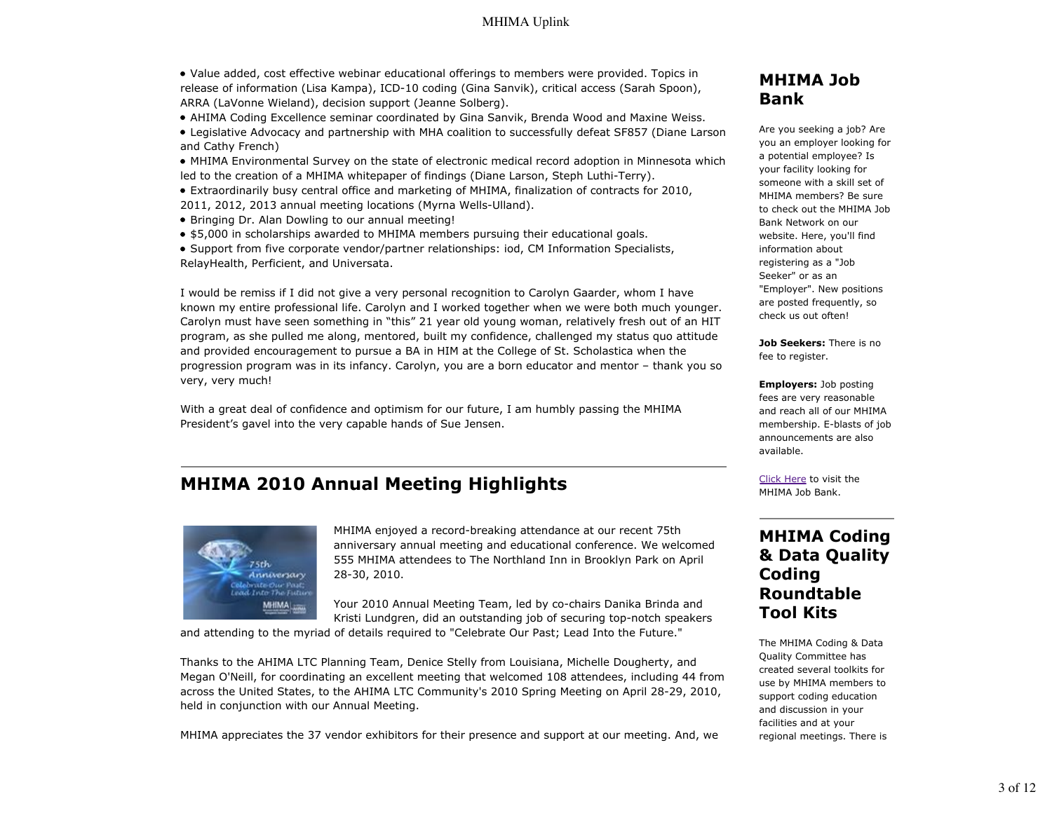- Value added, cost effective webinar educational offerings to members were provided. Topics in release of information (Lisa Kampa), ICD-10 coding (Gina Sanvik), critical access (Sarah Spoon), ARRA (LaVonne Wieland), decision support (Jeanne Solberg).
- AHIMA Coding Excellence seminar coordinated by Gina Sanvik, Brenda Wood and Maxine Weiss.
- Legislative Advocacy and partnership with MHA coalition to successfully defeat SF857 (Diane Larson and Cathy French)
- MHIMA Environmental Survey on the state of electronic medical record adoption in Minnesota which led to the creation of a MHIMA whitepaper of findings (Diane Larson, Steph Luthi-Terry).
- Extraordinarily busy central office and marketing of MHIMA, finalization of contracts for 2010, 2011, 2012, 2013 annual meeting locations (Myrna Wells-Ulland).
- Bringing Dr. Alan Dowling to our annual meeting!
- \$5,000 in scholarships awarded to MHIMA members pursuing their educational goals.
- Support from five corporate vendor/partner relationships: iod, CM Information Specialists, RelayHealth, Perficient, and Universata.

I would be remiss if I did not give a very personal recognition to Carolyn Gaarder, whom I have known my entire professional life. Carolyn and I worked together when we were both much younger. Carolyn must have seen something in "this" 21 year old young woman, relatively fresh out of an HIT program, as she pulled me along, mentored, built my confidence, challenged my status quo attitude and provided encouragement to pursue a BA in HIM at the College of St. Scholastica when the progression program was in its infancy. Carolyn, you are a born educator and mentor – thank you so very, very much!

With a great deal of confidence and optimism for our future, I am humbly passing the MHIMA President's gavel into the very capable hands of Sue Jensen.

# **MHIMA 2010 Annual Meeting Highlights**



MHIMA enjoyed a record-breaking attendance at our recent 75th anniversary annual meeting and educational conference. We welcomed 555 MHIMA attendees to The Northland Inn in Brooklyn Park on April 28-30, 2010.

Your 2010 Annual Meeting Team, led by co-chairs Danika Brinda and Kristi Lundgren, did an outstanding job of securing top-notch speakers

and attending to the myriad of details required to "Celebrate Our Past; Lead Into the Future."

Thanks to the AHIMA LTC Planning Team, Denice Stelly from Louisiana, Michelle Dougherty, and Megan O'Neill, for coordinating an excellent meeting that welcomed 108 attendees, including 44 from across the United States, to the AHIMA LTC Community's 2010 Spring Meeting on April 28-29, 2010, held in conjunction with our Annual Meeting.

MHIMA appreciates the 37 vendor exhibitors for their presence and support at our meeting. And, we

## **MHIMA Job Bank**

Are you seeking a job? Are you an employer looking for a potential employee? Is your facility looking for someone with a skill set of MHIMA members? Be sure to check out the MHIMA Job Bank Network on our website. Here, you'll find information about registering as a "Job Seeker" or as an "Employer". New positions are posted frequently, so check us out often!

**Job Seekers:** There is no fee to register.

**Employers:** Job posting fees are very reasonable and reach all of our MHIMA membership. E-blasts of job announcements are also available.

Click Here to visit the MHIMA Job Bank.

# **MHIMA Coding & Data Quality Coding Roundtable Tool Kits**

The MHIMA Coding & Data Quality Committee has created several toolkits for use by MHIMA members to support coding education and discussion in your facilities and at your regional meetings. There is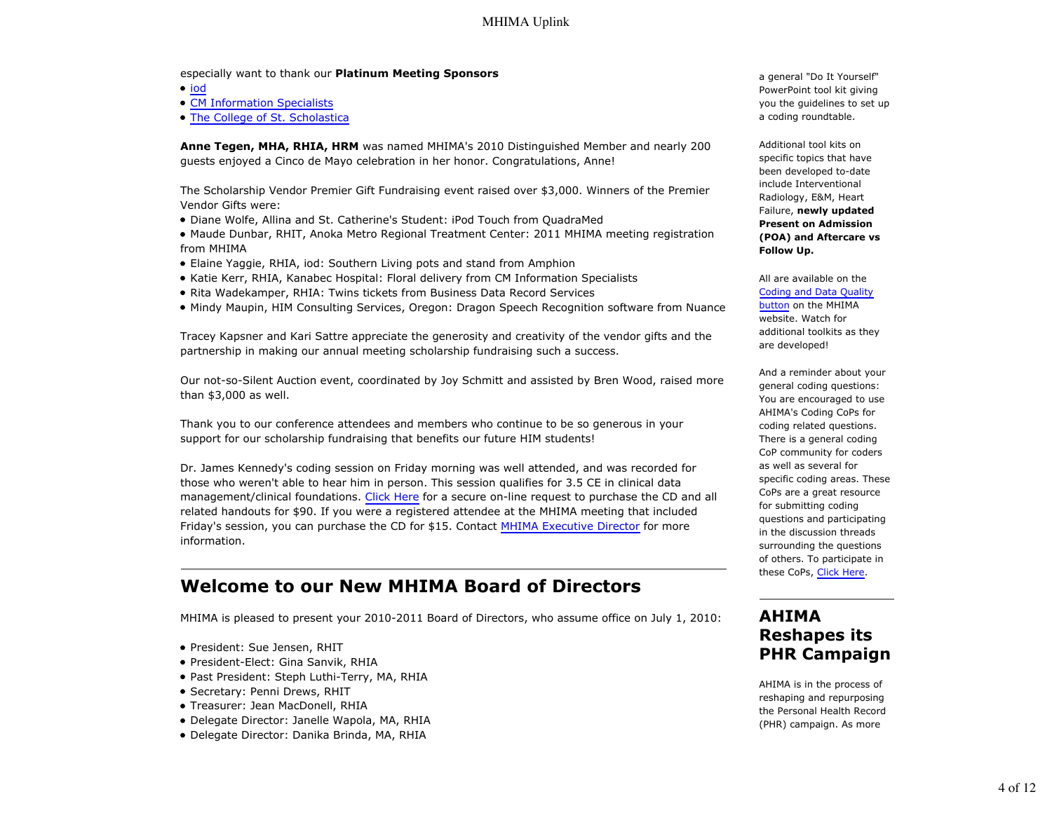#### especially want to thank our **Platinum Meeting Sponsors**

 $\bullet$  iod

- CM Information Specialists
- The College of St. Scholastica

**Anne Tegen, MHA, RHIA, HRM** was named MHIMA's 2010 Distinguished Member and nearly 200 guests enjoyed a Cinco de Mayo celebration in her honor. Congratulations, Anne!

The Scholarship Vendor Premier Gift Fundraising event raised over \$3,000. Winners of the Premier Vendor Gifts were:

- Diane Wolfe, Allina and St. Catherine's Student: iPod Touch from QuadraMed
- Maude Dunbar, RHIT, Anoka Metro Regional Treatment Center: 2011 MHIMA meeting registration from MHIMA
- Elaine Yaggie, RHIA, iod: Southern Living pots and stand from Amphion
- Katie Kerr, RHIA, Kanabec Hospital: Floral delivery from CM Information Specialists
- Rita Wadekamper, RHIA: Twins tickets from Business Data Record Services
- Mindy Maupin, HIM Consulting Services, Oregon: Dragon Speech Recognition software from Nuance

Tracey Kapsner and Kari Sattre appreciate the generosity and creativity of the vendor gifts and the partnership in making our annual meeting scholarship fundraising such a success.

Our not-so-Silent Auction event, coordinated by Joy Schmitt and assisted by Bren Wood, raised more than \$3,000 as well.

Thank you to our conference attendees and members who continue to be so generous in your support for our scholarship fundraising that benefits our future HIM students!

Dr. James Kennedy's coding session on Friday morning was well attended, and was recorded for those who weren't able to hear him in person. This session qualifies for 3.5 CE in clinical data management/clinical foundations. Click Here for a secure on-line request to purchase the CD and all related handouts for \$90. If you were a registered attendee at the MHIMA meeting that included Friday's session, you can purchase the CD for \$15. Contact MHIMA Executive Director for more information.

### **Welcome to our New MHIMA Board of Directors**

MHIMA is pleased to present your 2010-2011 Board of Directors, who assume office on July 1, 2010:

- President: Sue Jensen, RHIT
- President-Elect: Gina Sanvik, RHIA
- Past President: Steph Luthi-Terry, MA, RHIA
- Secretary: Penni Drews, RHIT
- Treasurer: Jean MacDonell, RHIA
- Delegate Director: Janelle Wapola, MA, RHIA
- Delegate Director: Danika Brinda, MA, RHIA

a general "Do It Yourself" PowerPoint tool kit giving you the guidelines to set up a coding roundtable.

Additional tool kits on specific topics that have been developed to-date include Interventional Radiology, E&M, Heart Failure, **newly updated Present on Admission (POA) and Aftercare vs Follow Up.**

All are available on the Coding and Data Quality button on the MHIMA website. Watch for

additional toolkits as they are developed!

And a reminder about your general coding questions: You are encouraged to use AHIMA's Coding CoPs for coding related questions. There is a general coding CoP community for coders as well as several for specific coding areas. These CoPs are a great resource for submitting coding questions and participating in the discussion threads surrounding the questions of others. To participate in these CoPs, Click Here.

### **AHIMA Reshapes its PHR Campaign**

AHIMA is in the process of reshaping and repurposing the Personal Health Record (PHR) campaign. As more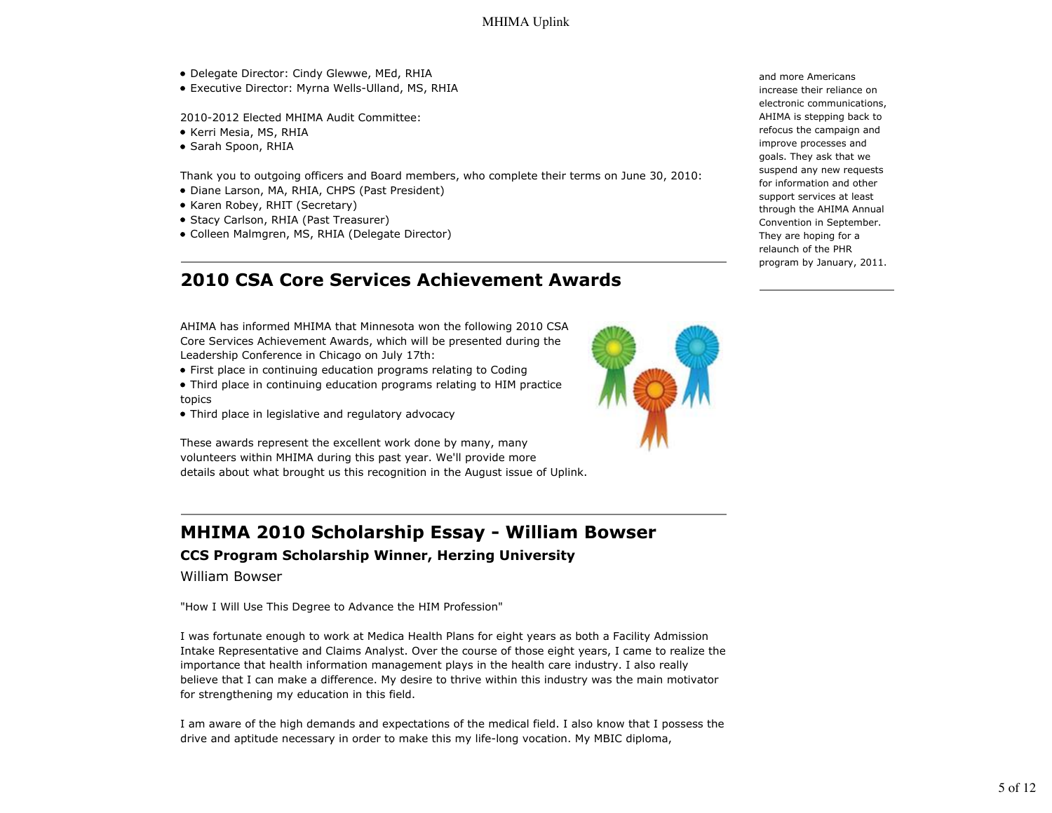- Delegate Director: Cindy Glewwe, MEd, RHIA
- Executive Director: Myrna Wells-Ulland, MS, RHIA

2010-2012 Elected MHIMA Audit Committee:

- Kerri Mesia, MS, RHIA
- Sarah Spoon, RHIA

Thank you to outgoing officers and Board members, who complete their terms on June 30, 2010:

- Diane Larson, MA, RHIA, CHPS (Past President)
- Karen Robey, RHIT (Secretary)
- Stacy Carlson, RHIA (Past Treasurer)
- Colleen Malmgren, MS, RHIA (Delegate Director)

# **2010 CSA Core Services Achievement Awards**

AHIMA has informed MHIMA that Minnesota won the following 2010 CSA Core Services Achievement Awards, which will be presented during the Leadership Conference in Chicago on July 17th:

• First place in continuing education programs relating to Coding

• Third place in continuing education programs relating to HIM practice topics

• Third place in legislative and regulatory advocacy

These awards represent the excellent work done by many, many volunteers within MHIMA during this past year. We'll provide more details about what brought us this recognition in the August issue of Uplink.

# **MHIMA 2010 Scholarship Essay - William Bowser**

### **CCS Program Scholarship Winner, Herzing University**

William Bowser

"How I Will Use This Degree to Advance the HIM Profession"

I was fortunate enough to work at Medica Health Plans for eight years as both a Facility Admission Intake Representative and Claims Analyst. Over the course of those eight years, I came to realize the importance that health information management plays in the health care industry. I also really believe that I can make a difference. My desire to thrive within this industry was the main motivator for strengthening my education in this field.

I am aware of the high demands and expectations of the medical field. I also know that I possess the drive and aptitude necessary in order to make this my life-long vocation. My MBIC diploma,



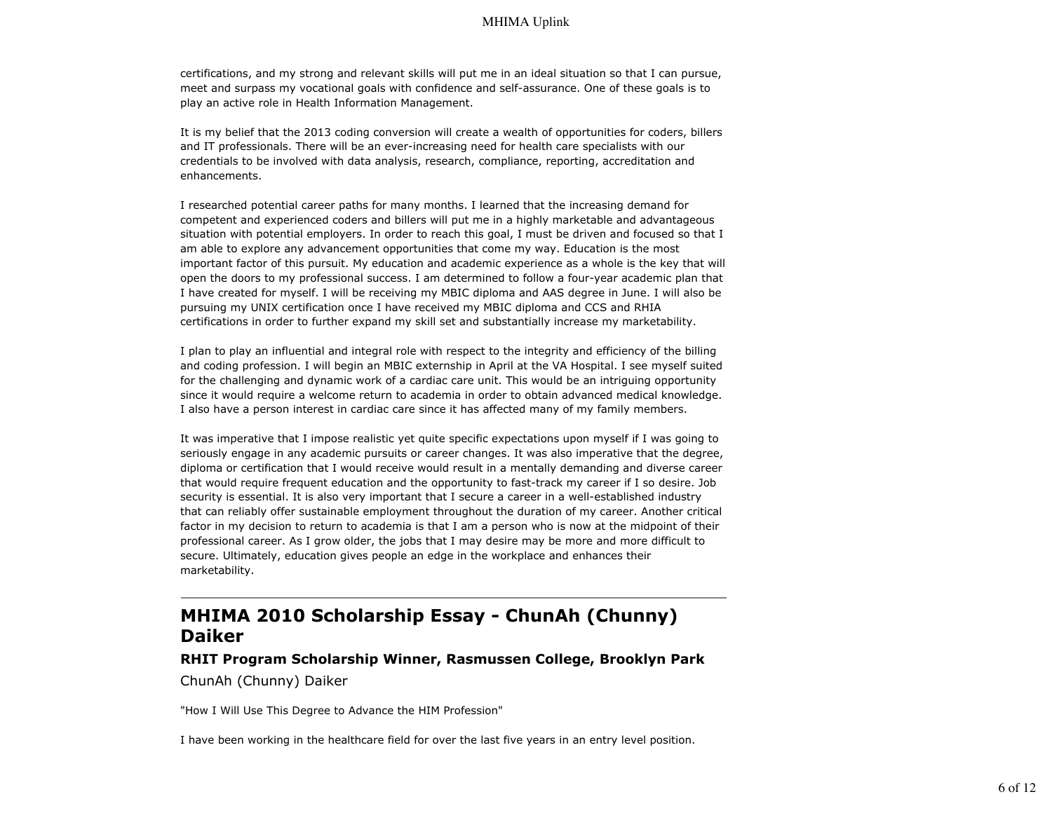certifications, and my strong and relevant skills will put me in an ideal situation so that I can pursue, meet and surpass my vocational goals with confidence and self-assurance. One of these goals is to play an active role in Health Information Management.

It is my belief that the 2013 coding conversion will create a wealth of opportunities for coders, billers and IT professionals. There will be an ever-increasing need for health care specialists with our credentials to be involved with data analysis, research, compliance, reporting, accreditation and enhancements.

I researched potential career paths for many months. I learned that the increasing demand for competent and experienced coders and billers will put me in a highly marketable and advantageous situation with potential employers. In order to reach this goal, I must be driven and focused so that I am able to explore any advancement opportunities that come my way. Education is the most important factor of this pursuit. My education and academic experience as a whole is the key that will open the doors to my professional success. I am determined to follow a four-year academic plan that I have created for myself. I will be receiving my MBIC diploma and AAS degree in June. I will also be pursuing my UNIX certification once I have received my MBIC diploma and CCS and RHIA certifications in order to further expand my skill set and substantially increase my marketability.

I plan to play an influential and integral role with respect to the integrity and efficiency of the billing and coding profession. I will begin an MBIC externship in April at the VA Hospital. I see myself suited for the challenging and dynamic work of a cardiac care unit. This would be an intriguing opportunity since it would require a welcome return to academia in order to obtain advanced medical knowledge. I also have a person interest in cardiac care since it has affected many of my family members.

It was imperative that I impose realistic yet quite specific expectations upon myself if I was going to seriously engage in any academic pursuits or career changes. It was also imperative that the degree, diploma or certification that I would receive would result in a mentally demanding and diverse career that would require frequent education and the opportunity to fast-track my career if I so desire. Job security is essential. It is also very important that I secure a career in a well-established industry that can reliably offer sustainable employment throughout the duration of my career. Another critical factor in my decision to return to academia is that I am a person who is now at the midpoint of their professional career. As I grow older, the jobs that I may desire may be more and more difficult to secure. Ultimately, education gives people an edge in the workplace and enhances their marketability.

# **MHIMA 2010 Scholarship Essay - ChunAh (Chunny) Daiker**

### **RHIT Program Scholarship Winner, Rasmussen College, Brooklyn Park** ChunAh (Chunny) Daiker

"How I Will Use This Degree to Advance the HIM Profession"

I have been working in the healthcare field for over the last five years in an entry level position.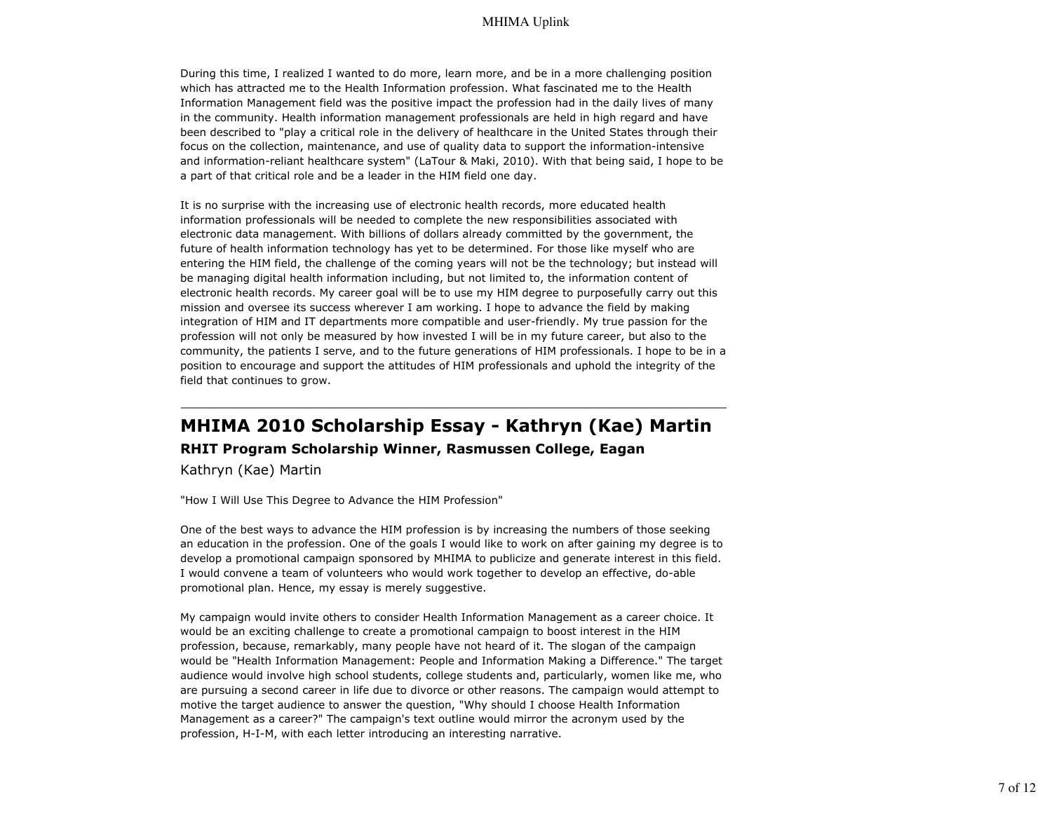During this time, I realized I wanted to do more, learn more, and be in a more challenging position which has attracted me to the Health Information profession. What fascinated me to the Health Information Management field was the positive impact the profession had in the daily lives of many in the community. Health information management professionals are held in high regard and have been described to "play a critical role in the delivery of healthcare in the United States through their focus on the collection, maintenance, and use of quality data to support the information-intensive and information-reliant healthcare system" (LaTour & Maki, 2010). With that being said, I hope to be a part of that critical role and be a leader in the HIM field one day.

It is no surprise with the increasing use of electronic health records, more educated health information professionals will be needed to complete the new responsibilities associated with electronic data management. With billions of dollars already committed by the government, the future of health information technology has yet to be determined. For those like myself who are entering the HIM field, the challenge of the coming years will not be the technology; but instead will be managing digital health information including, but not limited to, the information content of electronic health records. My career goal will be to use my HIM degree to purposefully carry out this mission and oversee its success wherever I am working. I hope to advance the field by making integration of HIM and IT departments more compatible and user-friendly. My true passion for the profession will not only be measured by how invested I will be in my future career, but also to the community, the patients I serve, and to the future generations of HIM professionals. I hope to be in a position to encourage and support the attitudes of HIM professionals and uphold the integrity of the field that continues to grow.

# **MHIMA 2010 Scholarship Essay - Kathryn (Kae) Martin RHIT Program Scholarship Winner, Rasmussen College, Eagan**

Kathryn (Kae) Martin

"How I Will Use This Degree to Advance the HIM Profession"

One of the best ways to advance the HIM profession is by increasing the numbers of those seeking an education in the profession. One of the goals I would like to work on after gaining my degree is to develop a promotional campaign sponsored by MHIMA to publicize and generate interest in this field. I would convene a team of volunteers who would work together to develop an effective, do-able promotional plan. Hence, my essay is merely suggestive.

My campaign would invite others to consider Health Information Management as a career choice. It would be an exciting challenge to create a promotional campaign to boost interest in the HIM profession, because, remarkably, many people have not heard of it. The slogan of the campaign would be "Health Information Management: People and Information Making a Difference." The target audience would involve high school students, college students and, particularly, women like me, who are pursuing a second career in life due to divorce or other reasons. The campaign would attempt to motive the target audience to answer the question, "Why should I choose Health Information Management as a career?" The campaign's text outline would mirror the acronym used by the profession, H-I-M, with each letter introducing an interesting narrative.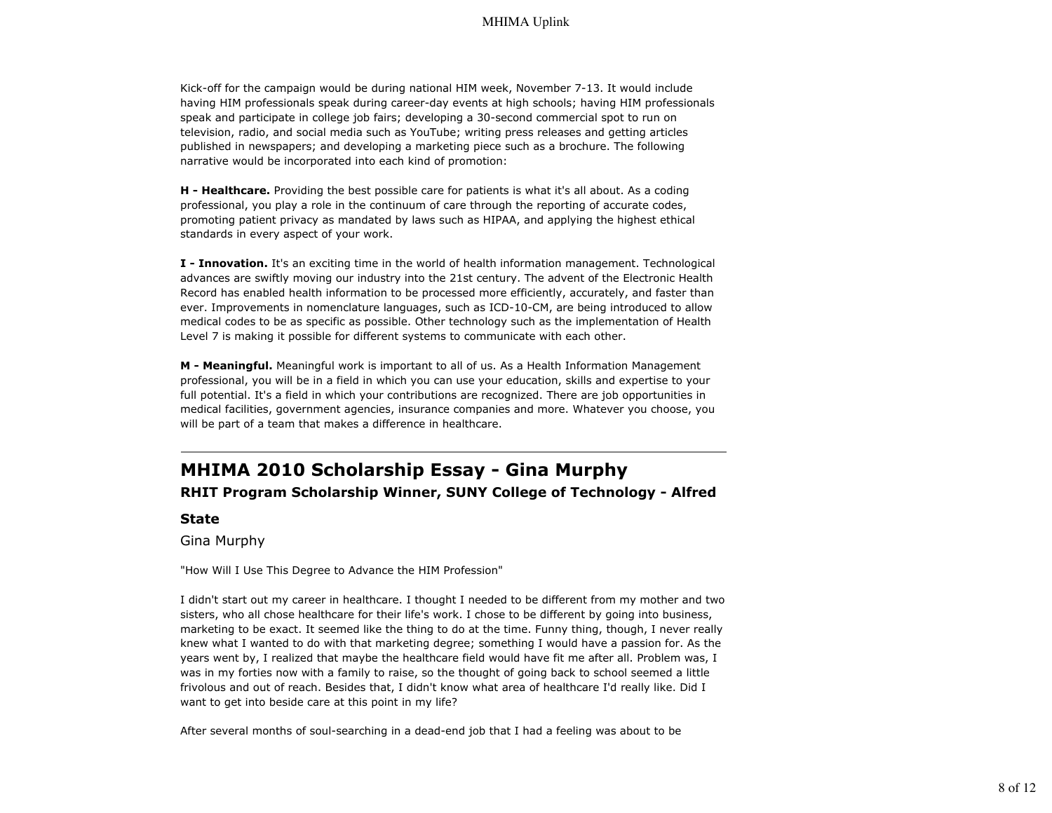Kick-off for the campaign would be during national HIM week, November 7-13. It would include having HIM professionals speak during career-day events at high schools; having HIM professionals speak and participate in college job fairs; developing a 30-second commercial spot to run on television, radio, and social media such as YouTube; writing press releases and getting articles published in newspapers; and developing a marketing piece such as a brochure. The following narrative would be incorporated into each kind of promotion:

**H - Healthcare.** Providing the best possible care for patients is what it's all about. As a coding professional, you play a role in the continuum of care through the reporting of accurate codes, promoting patient privacy as mandated by laws such as HIPAA, and applying the highest ethical standards in every aspect of your work.

**I - Innovation.** It's an exciting time in the world of health information management. Technological advances are swiftly moving our industry into the 21st century. The advent of the Electronic Health Record has enabled health information to be processed more efficiently, accurately, and faster than ever. Improvements in nomenclature languages, such as ICD-10-CM, are being introduced to allow medical codes to be as specific as possible. Other technology such as the implementation of Health Level 7 is making it possible for different systems to communicate with each other.

**M - Meaningful.** Meaningful work is important to all of us. As a Health Information Management professional, you will be in a field in which you can use your education, skills and expertise to your full potential. It's a field in which your contributions are recognized. There are job opportunities in medical facilities, government agencies, insurance companies and more. Whatever you choose, you will be part of a team that makes a difference in healthcare.

# **MHIMA 2010 Scholarship Essay - Gina Murphy RHIT Program Scholarship Winner, SUNY College of Technology - Alfred**

**State**

Gina Murphy

"How Will I Use This Degree to Advance the HIM Profession"

I didn't start out my career in healthcare. I thought I needed to be different from my mother and two sisters, who all chose healthcare for their life's work. I chose to be different by going into business, marketing to be exact. It seemed like the thing to do at the time. Funny thing, though, I never really knew what I wanted to do with that marketing degree; something I would have a passion for. As the years went by, I realized that maybe the healthcare field would have fit me after all. Problem was, I was in my forties now with a family to raise, so the thought of going back to school seemed a little frivolous and out of reach. Besides that, I didn't know what area of healthcare I'd really like. Did I want to get into beside care at this point in my life?

After several months of soul-searching in a dead-end job that I had a feeling was about to be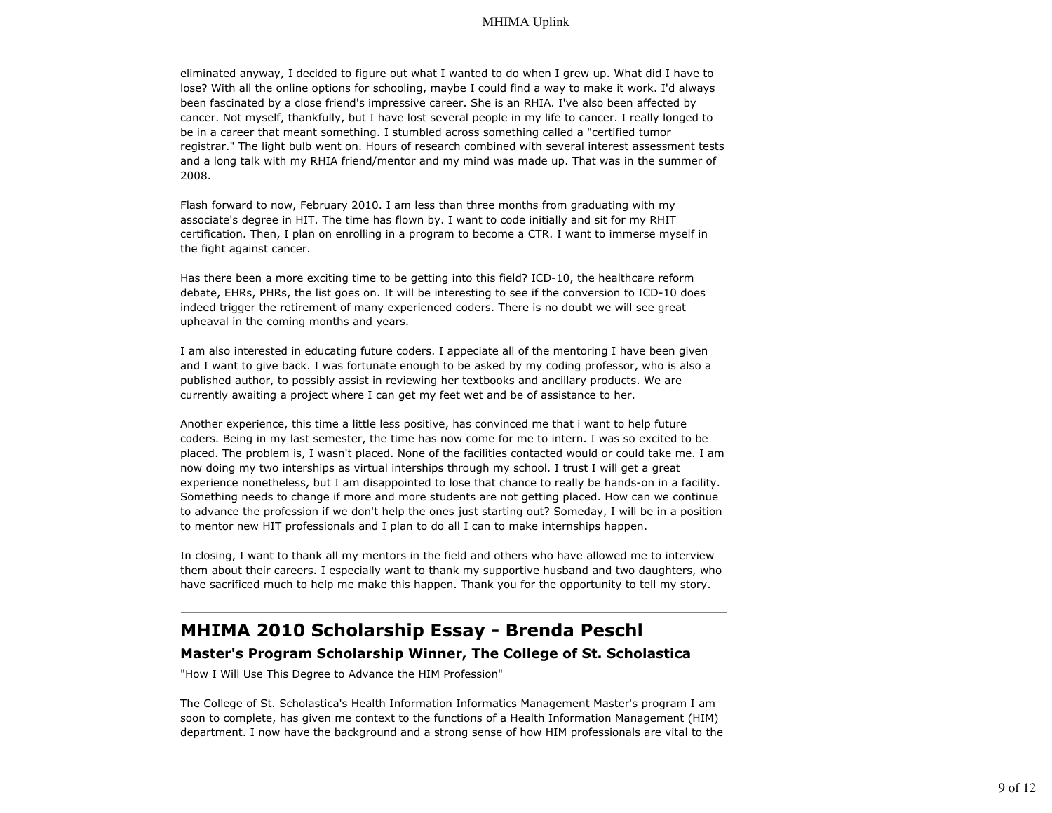eliminated anyway, I decided to figure out what I wanted to do when I grew up. What did I have to lose? With all the online options for schooling, maybe I could find a way to make it work. I'd always been fascinated by a close friend's impressive career. She is an RHIA. I've also been affected by cancer. Not myself, thankfully, but I have lost several people in my life to cancer. I really longed to be in a career that meant something. I stumbled across something called a "certified tumor registrar." The light bulb went on. Hours of research combined with several interest assessment tests and a long talk with my RHIA friend/mentor and my mind was made up. That was in the summer of 2008.

Flash forward to now, February 2010. I am less than three months from graduating with my associate's degree in HIT. The time has flown by. I want to code initially and sit for my RHIT certification. Then, I plan on enrolling in a program to become a CTR. I want to immerse myself in the fight against cancer.

Has there been a more exciting time to be getting into this field? ICD-10, the healthcare reform debate, EHRs, PHRs, the list goes on. It will be interesting to see if the conversion to ICD-10 does indeed trigger the retirement of many experienced coders. There is no doubt we will see great upheaval in the coming months and years.

I am also interested in educating future coders. I appeciate all of the mentoring I have been given and I want to give back. I was fortunate enough to be asked by my coding professor, who is also a published author, to possibly assist in reviewing her textbooks and ancillary products. We are currently awaiting a project where I can get my feet wet and be of assistance to her.

Another experience, this time a little less positive, has convinced me that i want to help future coders. Being in my last semester, the time has now come for me to intern. I was so excited to be placed. The problem is, I wasn't placed. None of the facilities contacted would or could take me. I am now doing my two interships as virtual interships through my school. I trust I will get a great experience nonetheless, but I am disappointed to lose that chance to really be hands-on in a facility. Something needs to change if more and more students are not getting placed. How can we continue to advance the profession if we don't help the ones just starting out? Someday, I will be in a position to mentor new HIT professionals and I plan to do all I can to make internships happen.

In closing, I want to thank all my mentors in the field and others who have allowed me to interview them about their careers. I especially want to thank my supportive husband and two daughters, who have sacrificed much to help me make this happen. Thank you for the opportunity to tell my story.

# **MHIMA 2010 Scholarship Essay - Brenda Peschl**

#### **Master's Program Scholarship Winner, The College of St. Scholastica**

"How I Will Use This Degree to Advance the HIM Profession"

The College of St. Scholastica's Health Information Informatics Management Master's program I am soon to complete, has given me context to the functions of a Health Information Management (HIM) department. I now have the background and a strong sense of how HIM professionals are vital to the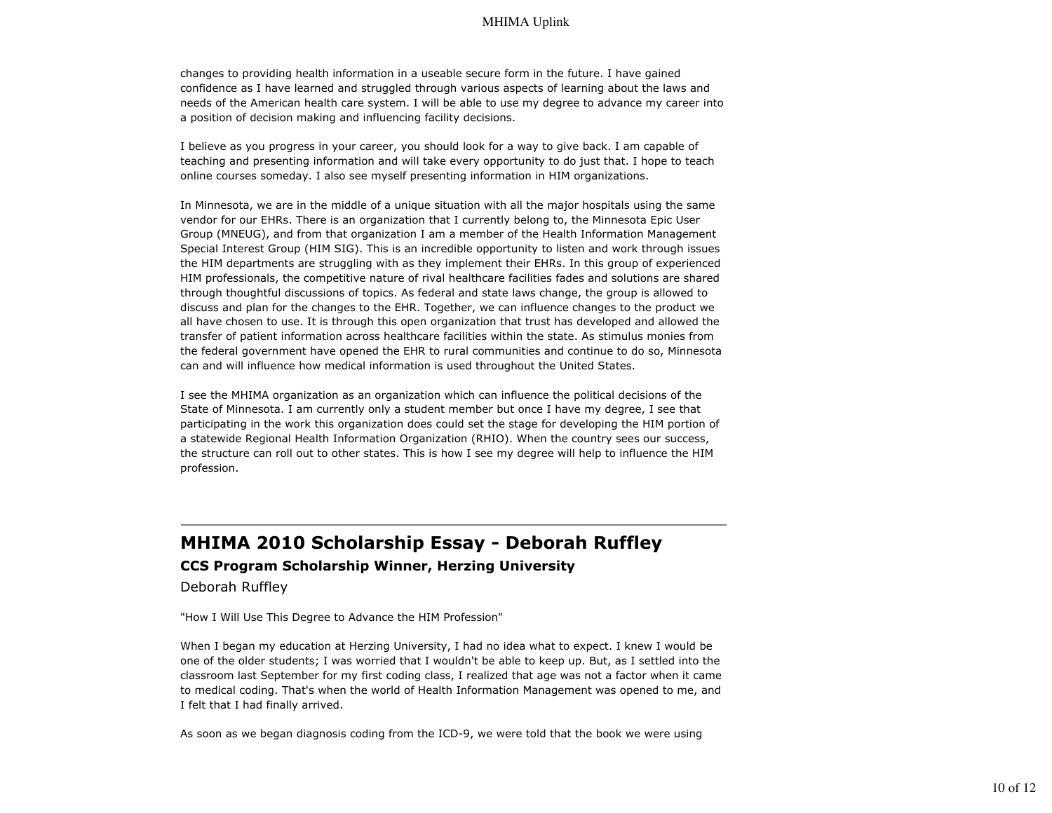changes to providing health information in a useable secure form in the future. I have gained confidence as I have learned and struggled through various aspects of learning about the laws and needs of the American health care system. I will be able to use my degree to advance my career into a position of decision making and influencing facility decisions.

I believe as you progress in your career, you should look for a way to give back. I am capable of teaching and presenting information and will take every opportunity to do just that. I hope to teach online courses someday. I also see myself presenting information in HIM organizations.

In Minnesota, we are in the middle of a unique situation with all the major hospitals using the same vendor for our EHRs. There is an organization that I currently belong to, the Minnesota Epic User Group (MNEUG), and from that organization I am a member of the Health Information Management Special Interest Group (HIM SIG). This is an incredible opportunity to listen and work through issues the HIM departments are struggling with as they implement their EHRs. In this group of experienced HIM professionals, the competitive nature of rival healthcare facilities fades and solutions are shared through thoughtful discussions of topics. As federal and state laws change, the group is allowed to discuss and plan for the changes to the EHR. Together, we can influence changes to the product we all have chosen to use. It is through this open organization that trust has developed and allowed the transfer of patient information across healthcare facilities within the state. As stimulus monies from the federal government have opened the EHR to rural communities and continue to do so, Minnesota can and will influence how medical information is used throughout the United States.

I see the MHIMA organization as an organization which can influence the political decisions of the State of Minnesota. I am currently only a student member but once I have my degree, I see that participating in the work this organization does could set the stage for developing the HIM portion of a statewide Regional Health Information Organization (RHIO). When the country sees our success, the structure can roll out to other states. This is how I see my degree will help to influence the HIM profession.

### **MHIMA 2010 Scholarship Essay - Deborah Ruffley**

### **CCS Program Scholarship Winner, Herzing University**

Deborah Ruffley

"How I Will Use This Degree to Advance the HIM Profession"

When I began my education at Herzing University, I had no idea what to expect. I knew I would be one of the older students; I was worried that I wouldn't be able to keep up. But, as I settled into the classroom last September for my first coding class, I realized that age was not a factor when it came to medical coding. That's when the world of Health Information Management was opened to me, and I felt that I had finally arrived.

As soon as we began diagnosis coding from the ICD-9, we were told that the book we were using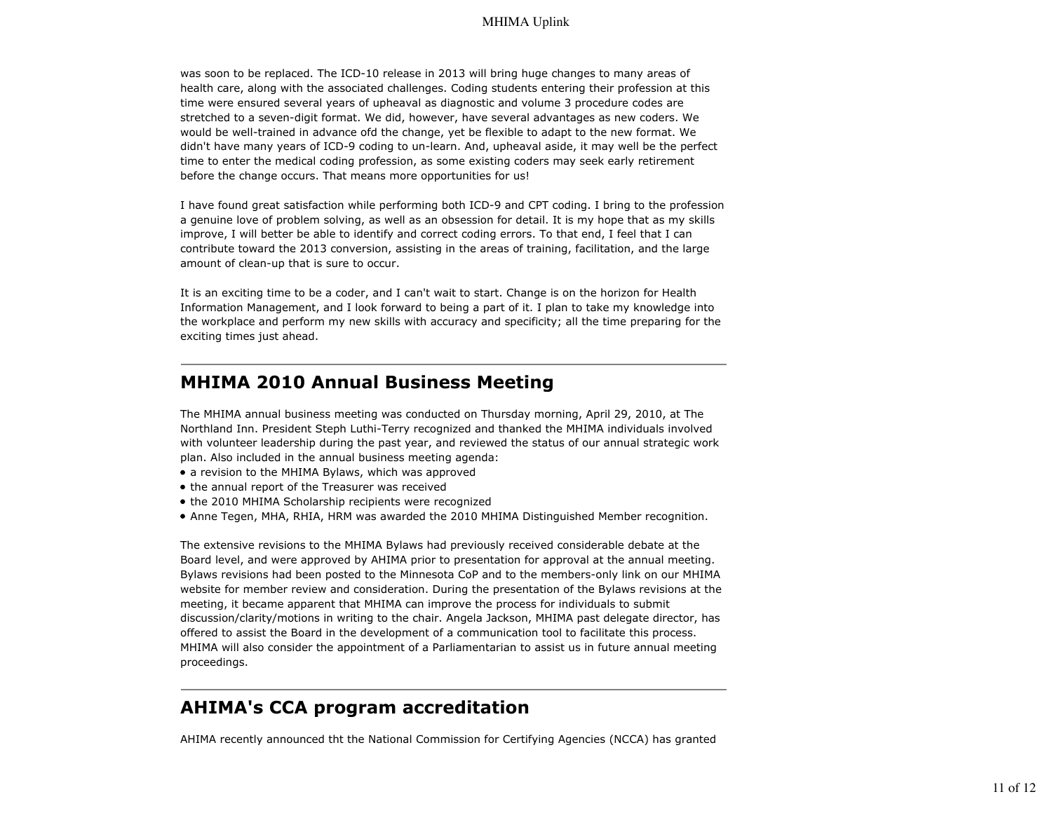was soon to be replaced. The ICD-10 release in 2013 will bring huge changes to many areas of health care, along with the associated challenges. Coding students entering their profession at this time were ensured several years of upheaval as diagnostic and volume 3 procedure codes are stretched to a seven-digit format. We did, however, have several advantages as new coders. We would be well-trained in advance ofd the change, yet be flexible to adapt to the new format. We didn't have many years of ICD-9 coding to un-learn. And, upheaval aside, it may well be the perfect time to enter the medical coding profession, as some existing coders may seek early retirement before the change occurs. That means more opportunities for us!

I have found great satisfaction while performing both ICD-9 and CPT coding. I bring to the profession a genuine love of problem solving, as well as an obsession for detail. It is my hope that as my skills improve, I will better be able to identify and correct coding errors. To that end, I feel that I can contribute toward the 2013 conversion, assisting in the areas of training, facilitation, and the large amount of clean-up that is sure to occur.

It is an exciting time to be a coder, and I can't wait to start. Change is on the horizon for Health Information Management, and I look forward to being a part of it. I plan to take my knowledge into the workplace and perform my new skills with accuracy and specificity; all the time preparing for the exciting times just ahead.

### **MHIMA 2010 Annual Business Meeting**

The MHIMA annual business meeting was conducted on Thursday morning, April 29, 2010, at The Northland Inn. President Steph Luthi-Terry recognized and thanked the MHIMA individuals involved with volunteer leadership during the past year, and reviewed the status of our annual strategic work plan. Also included in the annual business meeting agenda:

- a revision to the MHIMA Bylaws, which was approved
- the annual report of the Treasurer was received
- the 2010 MHIMA Scholarship recipients were recognized
- Anne Tegen, MHA, RHIA, HRM was awarded the 2010 MHIMA Distinguished Member recognition.

The extensive revisions to the MHIMA Bylaws had previously received considerable debate at the Board level, and were approved by AHIMA prior to presentation for approval at the annual meeting. Bylaws revisions had been posted to the Minnesota CoP and to the members-only link on our MHIMA website for member review and consideration. During the presentation of the Bylaws revisions at the meeting, it became apparent that MHIMA can improve the process for individuals to submit discussion/clarity/motions in writing to the chair. Angela Jackson, MHIMA past delegate director, has offered to assist the Board in the development of a communication tool to facilitate this process. MHIMA will also consider the appointment of a Parliamentarian to assist us in future annual meeting proceedings.

# **AHIMA's CCA program accreditation**

AHIMA recently announced tht the National Commission for Certifying Agencies (NCCA) has granted